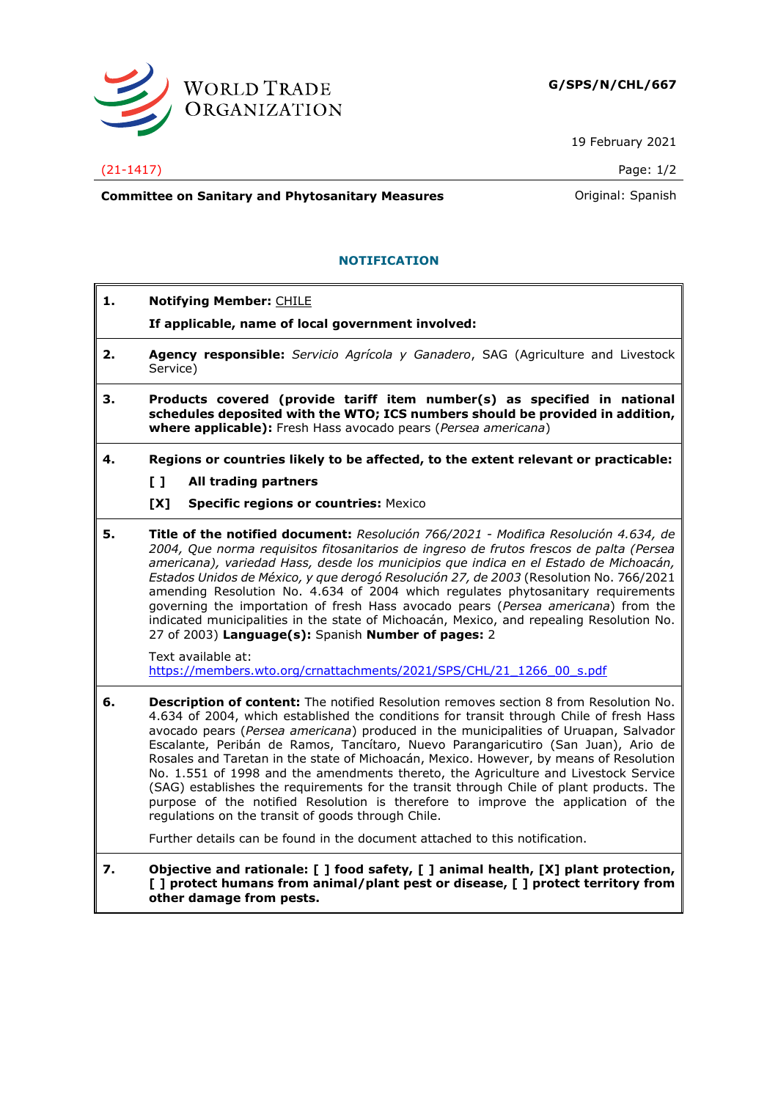

19 February 2021

## (21-1417) Page: 1/2

**Committee on Sanitary and Phytosanitary Measures Committee on Sanish Committee on Sanish** 

## **NOTIFICATION**

- **1. Notifying Member:** CHILE
	- **If applicable, name of local government involved:**
- **2. Agency responsible:** *Servicio Agrícola y Ganadero*, SAG (Agriculture and Livestock Service)
- **3. Products covered (provide tariff item number(s) as specified in national schedules deposited with the WTO; ICS numbers should be provided in addition, where applicable):** Fresh Hass avocado pears (*Persea americana*)
- **4. Regions or countries likely to be affected, to the extent relevant or practicable:**
	- **[ ] All trading partners**
	- **[X] Specific regions or countries:** Mexico
- **5. Title of the notified document:** *Resolución 766/2021 - Modifica Resolución 4.634, de 2004, Que norma requisitos fitosanitarios de ingreso de frutos frescos de palta (Persea americana), variedad Hass, desde los municipios que indica en el Estado de Michoacán, Estados Unidos de México, y que derogó Resolución 27, de 2003* (Resolution No. 766/2021 amending Resolution No. 4.634 of 2004 which regulates phytosanitary requirements governing the importation of fresh Hass avocado pears (*Persea americana*) from the indicated municipalities in the state of Michoacán, Mexico, and repealing Resolution No. 27 of 2003) **Language(s):** Spanish **Number of pages:** 2

Text available at: [https://members.wto.org/crnattachments/2021/SPS/CHL/21\\_1266\\_00\\_s.pdf](https://members.wto.org/crnattachments/2021/SPS/CHL/21_1266_00_s.pdf)

**6. Description of content:** The notified Resolution removes section 8 from Resolution No. 4.634 of 2004, which established the conditions for transit through Chile of fresh Hass avocado pears (*Persea americana*) produced in the municipalities of Uruapan, Salvador Escalante, Peribán de Ramos, Tancítaro, Nuevo Parangaricutiro (San Juan), Ario de Rosales and Taretan in the state of Michoacán, Mexico. However, by means of Resolution No. 1.551 of 1998 and the amendments thereto, the Agriculture and Livestock Service (SAG) establishes the requirements for the transit through Chile of plant products. The purpose of the notified Resolution is therefore to improve the application of the regulations on the transit of goods through Chile.

Further details can be found in the document attached to this notification.

**7. Objective and rationale: [ ] food safety, [ ] animal health, [X] plant protection, [ ] protect humans from animal/plant pest or disease, [ ] protect territory from other damage from pests.**